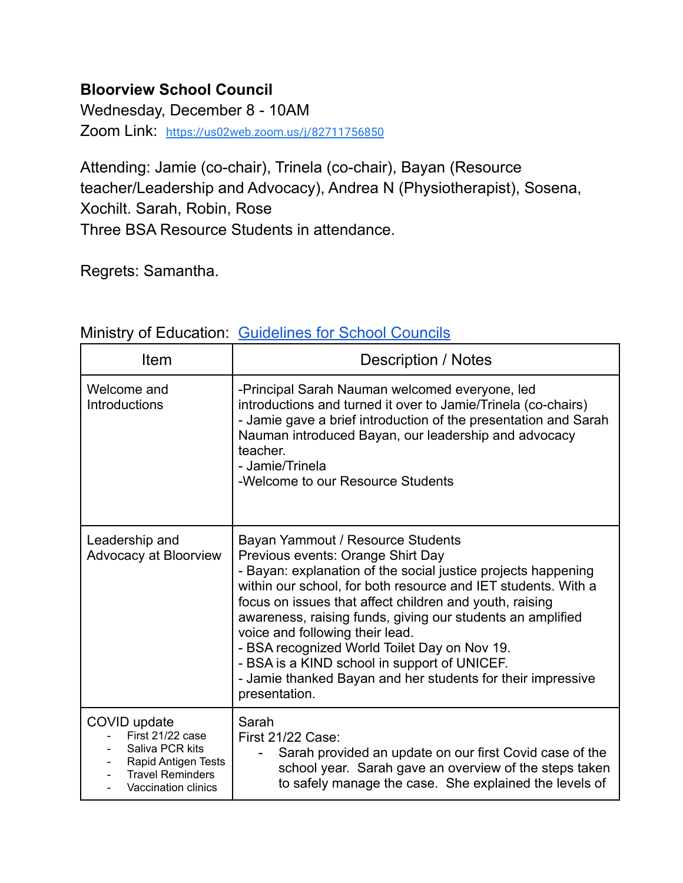## **Bloorview School Council**

Wednesday, December 8 - 10AM

Zoom Link: <https://us02web.zoom.us/j/82711756850>

Attending: Jamie (co-chair), Trinela (co-chair), Bayan (Resource teacher/Leadership and Advocacy), Andrea N (Physiotherapist), Sosena, Xochilt. Sarah, Robin, Rose Three BSA Resource Students in attendance.

Regrets: Samantha.

| Item                                                                                                                         | Description / Notes                                                                                                                                                                                                                                                                                                                                                                                                                                                                                                                                  |
|------------------------------------------------------------------------------------------------------------------------------|------------------------------------------------------------------------------------------------------------------------------------------------------------------------------------------------------------------------------------------------------------------------------------------------------------------------------------------------------------------------------------------------------------------------------------------------------------------------------------------------------------------------------------------------------|
| Welcome and<br><b>Introductions</b>                                                                                          | -Principal Sarah Nauman welcomed everyone, led<br>introductions and turned it over to Jamie/Trinela (co-chairs)<br>- Jamie gave a brief introduction of the presentation and Sarah<br>Nauman introduced Bayan, our leadership and advocacy<br>teacher.<br>- Jamie/Trinela<br>-Welcome to our Resource Students                                                                                                                                                                                                                                       |
| Leadership and<br>Advocacy at Bloorview                                                                                      | Bayan Yammout / Resource Students<br>Previous events: Orange Shirt Day<br>- Bayan: explanation of the social justice projects happening<br>within our school, for both resource and IET students. With a<br>focus on issues that affect children and youth, raising<br>awareness, raising funds, giving our students an amplified<br>voice and following their lead.<br>- BSA recognized World Toilet Day on Nov 19.<br>- BSA is a KIND school in support of UNICEF.<br>- Jamie thanked Bayan and her students for their impressive<br>presentation. |
| COVID update<br>First 21/22 case<br>Saliva PCR kits<br>Rapid Antigen Tests<br><b>Travel Reminders</b><br>Vaccination clinics | Sarah<br>First 21/22 Case:<br>Sarah provided an update on our first Covid case of the<br>school year. Sarah gave an overview of the steps taken<br>to safely manage the case. She explained the levels of                                                                                                                                                                                                                                                                                                                                            |

## Ministry of Education: [Guidelines](http://www.edu.gov.on.ca/eng/general/elemsec/council/guide.html) for School Councils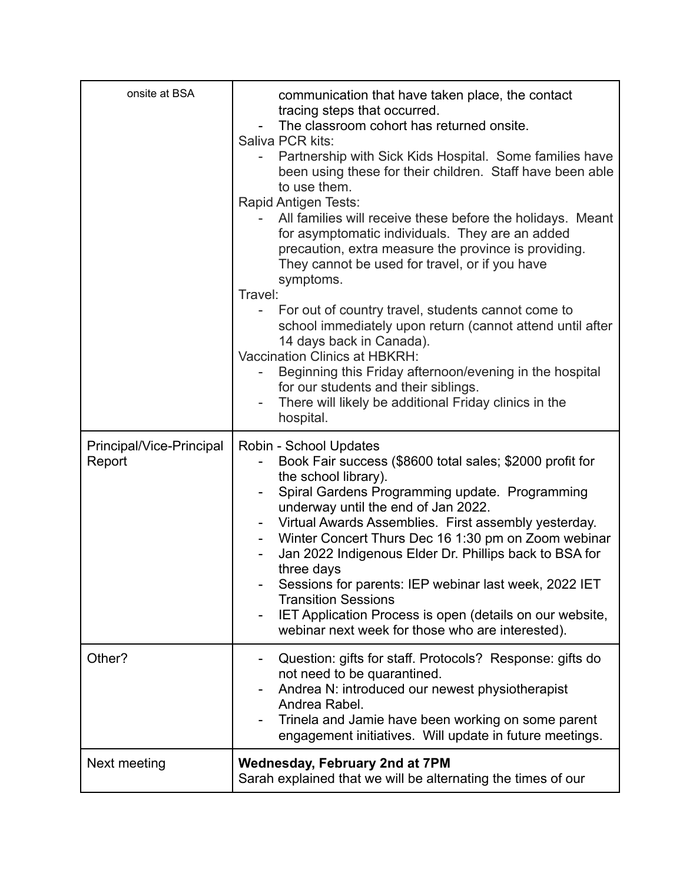| onsite at BSA                      | communication that have taken place, the contact<br>tracing steps that occurred.<br>The classroom cohort has returned onsite.<br>Saliva PCR kits:<br>Partnership with Sick Kids Hospital. Some families have<br>been using these for their children. Staff have been able<br>to use them.<br>Rapid Antigen Tests:<br>All families will receive these before the holidays. Meant<br>for asymptomatic individuals. They are an added<br>precaution, extra measure the province is providing.<br>They cannot be used for travel, or if you have<br>symptoms.<br>Travel:<br>For out of country travel, students cannot come to<br>school immediately upon return (cannot attend until after<br>14 days back in Canada).<br><b>Vaccination Clinics at HBKRH:</b><br>Beginning this Friday afternoon/evening in the hospital<br>for our students and their siblings.<br>There will likely be additional Friday clinics in the<br>hospital. |
|------------------------------------|--------------------------------------------------------------------------------------------------------------------------------------------------------------------------------------------------------------------------------------------------------------------------------------------------------------------------------------------------------------------------------------------------------------------------------------------------------------------------------------------------------------------------------------------------------------------------------------------------------------------------------------------------------------------------------------------------------------------------------------------------------------------------------------------------------------------------------------------------------------------------------------------------------------------------------------|
| Principal/Vice-Principal<br>Report | Robin - School Updates<br>Book Fair success (\$8600 total sales; \$2000 profit for<br>the school library).<br>Spiral Gardens Programming update. Programming<br>underway until the end of Jan 2022.<br>Virtual Awards Assemblies. First assembly yesterday.<br>Winter Concert Thurs Dec 16 1:30 pm on Zoom webinar<br>۰.<br>Jan 2022 Indigenous Elder Dr. Phillips back to BSA for<br>three days<br>Sessions for parents: IEP webinar last week, 2022 IET<br><b>Transition Sessions</b><br>IET Application Process is open (details on our website,<br>webinar next week for those who are interested).                                                                                                                                                                                                                                                                                                                              |
| Other?                             | Question: gifts for staff. Protocols? Response: gifts do<br>not need to be quarantined.<br>Andrea N: introduced our newest physiotherapist<br>Andrea Rabel.<br>Trinela and Jamie have been working on some parent<br>engagement initiatives. Will update in future meetings.                                                                                                                                                                                                                                                                                                                                                                                                                                                                                                                                                                                                                                                         |
| Next meeting                       | <b>Wednesday, February 2nd at 7PM</b><br>Sarah explained that we will be alternating the times of our                                                                                                                                                                                                                                                                                                                                                                                                                                                                                                                                                                                                                                                                                                                                                                                                                                |